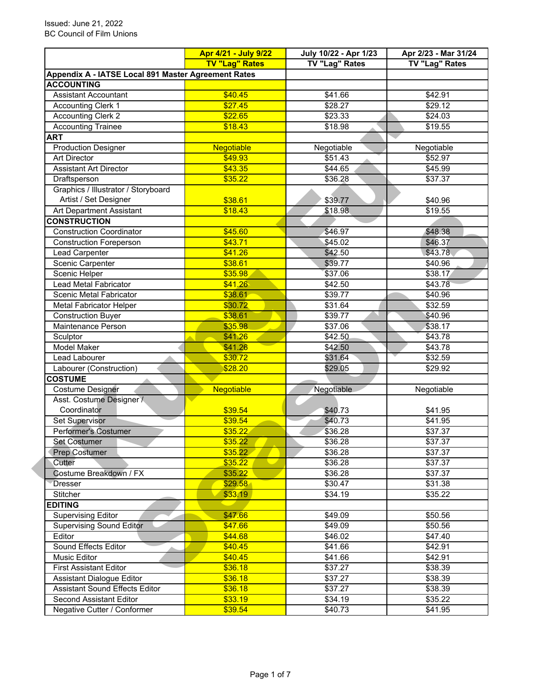|                                                     | Apr 4/21 - July 9/22  | July 10/22 - Apr 1/23 | Apr 2/23 - Mar 31/24 |  |
|-----------------------------------------------------|-----------------------|-----------------------|----------------------|--|
|                                                     | <b>TV "Lag" Rates</b> | <b>TV "Lag" Rates</b> | TV "Lag" Rates       |  |
| Appendix A - IATSE Local 891 Master Agreement Rates |                       |                       |                      |  |
| <b>ACCOUNTING</b>                                   |                       |                       |                      |  |
| <b>Assistant Accountant</b>                         | \$40.45               | \$41.66               | \$42.91              |  |
| <b>Accounting Clerk 1</b>                           | \$27.45               | \$28.27               | \$29.12              |  |
| <b>Accounting Clerk 2</b>                           | \$22.65               | \$23.33               | \$24.03              |  |
| <b>Accounting Trainee</b>                           | \$18.43               | \$18.98               | \$19.55              |  |
| <b>ART</b>                                          |                       |                       |                      |  |
| <b>Production Designer</b>                          | <b>Negotiable</b>     | Negotiable            | Negotiable           |  |
| <b>Art Director</b>                                 | \$49.93               | \$51.43               | \$52.97              |  |
| <b>Assistant Art Director</b>                       | \$43.35               | $\overline{$44.65}$   | \$45.99              |  |
| Draftsperson                                        | \$35.22               | \$36.28               | \$37.37              |  |
| Graphics / Illustrator / Storyboard                 |                       |                       |                      |  |
| Artist / Set Designer                               | \$38.61               | \$39.77               | \$40.96              |  |
| Art Department Assistant                            | \$18.43               | \$18.98               | \$19.55              |  |
| <b>CONSTRUCTION</b>                                 |                       |                       |                      |  |
| <b>Construction Coordinator</b>                     | \$45.60               | \$46.97               | \$48.38              |  |
| <b>Construction Foreperson</b>                      | \$43.71               | \$45.02               | \$46.37              |  |
| Lead Carpenter                                      | \$41.26               | \$42.50               | \$43.78              |  |
| Scenic Carpenter                                    | \$38.61               | \$39.77               | \$40.96              |  |
| Scenic Helper                                       | \$35.98               | \$37.06               | \$38.17              |  |
| Lead Metal Fabricator                               | \$41.26               | \$42.50               | \$43.78              |  |
| Scenic Metal Fabricator                             | \$38.61               | \$39.77               | \$40.96              |  |
| <b>Metal Fabricator Helper</b>                      | \$30.72               | \$31.64               | \$32.59              |  |
| <b>Construction Buyer</b>                           | \$38.61               | \$39.77               | \$40.96              |  |
| Maintenance Person                                  | \$35.98               | \$37.06               | \$38.17              |  |
| Sculptor                                            | \$41.26               | \$42.50               | \$43.78              |  |
| <b>Model Maker</b>                                  | \$41.26               | \$42.50               | \$43.78              |  |
| Lead Labourer                                       | \$30.72               | \$31.64               | \$32.59              |  |
| Labourer (Construction)                             | \$28.20               | \$29.05               | \$29.92              |  |
| <b>COSTUME</b>                                      |                       |                       |                      |  |
|                                                     |                       |                       |                      |  |
| Costume Designer<br>Asst. Costume Designer /        | <b>Negotiable</b>     | Negotiable            | Negotiable           |  |
| Coordinator                                         |                       |                       |                      |  |
|                                                     | \$39.54               | \$40.73               | \$41.95              |  |
| Set Supervisor                                      | \$39.54               | \$40.73               | \$41.95              |  |
| <b>Performer's Costumer</b>                         | \$35.22               | \$36.28               | \$37.37              |  |
| <b>Set Costumer</b>                                 | \$35.22               | \$36.28               | \$37.37              |  |
| <b>Prep Costumer</b>                                | \$35.22               | \$36.28               | \$37.37              |  |
| Cutter                                              | \$35.22               | \$36.28               | \$37.37              |  |
| Costume Breakdown / FX                              | \$35.22               | \$36.28               | \$37.37              |  |
| <b>Dresser</b>                                      | \$29.58               | \$30.47               | \$31.38              |  |
| Stitcher                                            | \$33.19               | \$34.19               | \$35.22              |  |
| <b>EDITING</b>                                      |                       |                       |                      |  |
| <b>Supervising Editor</b>                           | \$47.66               | \$49.09               | \$50.56              |  |
| <b>Supervising Sound Editor</b>                     | \$47.66               | \$49.09               | \$50.56              |  |
| Editor                                              | \$44.68               | \$46.02               | \$47.40              |  |
| Sound Effects Editor                                | \$40.45               | \$41.66               | \$42.91              |  |
| Music Editor                                        | \$40.45               | \$41.66               | \$42.91              |  |
| <b>First Assistant Editor</b>                       | \$36.18               | \$37.27               | \$38.39              |  |
| <b>Assistant Dialogue Editor</b>                    | \$36.18               | \$37.27               | \$38.39              |  |
| Assistant Sound Effects Editor                      | \$36.18               | \$37.27               | \$38.39              |  |
| <b>Second Assistant Editor</b>                      | \$33.19               | \$34.19               | \$35.22              |  |
| Negative Cutter / Conformer                         | \$39.54               | \$40.73               | \$41.95              |  |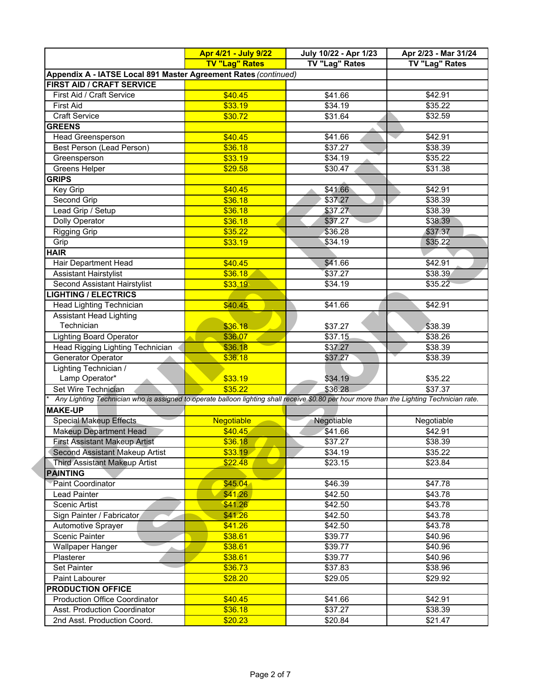|                                                                                                                                           | Apr 4/21 - July 9/22  | July 10/22 - Apr 1/23 | Apr 2/23 - Mar 31/24 |  |
|-------------------------------------------------------------------------------------------------------------------------------------------|-----------------------|-----------------------|----------------------|--|
|                                                                                                                                           | <b>TV "Lag" Rates</b> | TV "Lag" Rates        | TV "Lag" Rates       |  |
| Appendix A - IATSE Local 891 Master Agreement Rates (continued)                                                                           |                       |                       |                      |  |
| FIRST AID / CRAFT SERVICE                                                                                                                 |                       |                       |                      |  |
| First Aid / Craft Service                                                                                                                 | \$40.45               | \$41.66               | \$42.91              |  |
| <b>First Aid</b>                                                                                                                          | \$33.19               | \$34.19               | \$35.22              |  |
| <b>Craft Service</b>                                                                                                                      | \$30.72               | \$31.64               | \$32.59              |  |
| <b>GREENS</b>                                                                                                                             |                       |                       |                      |  |
| <b>Head Greensperson</b>                                                                                                                  | \$40.45               | \$41.66               | \$42.91              |  |
| Best Person (Lead Person)                                                                                                                 | \$36.18               | \$37.27               | \$38.39              |  |
| Greensperson                                                                                                                              | \$33.19               | \$34.19               | \$35.22              |  |
| Greens Helper                                                                                                                             | \$29.58               | \$30.47               | \$31.38              |  |
| <b>GRIPS</b>                                                                                                                              |                       |                       |                      |  |
| Key Grip                                                                                                                                  | \$40.45               | \$41.66               | \$42.91              |  |
| Second Grip                                                                                                                               | \$36.18               | \$37.27               | \$38.39              |  |
| Lead Grip / Setup                                                                                                                         | \$36.18               | \$37.27               | \$38.39              |  |
| <b>Dolly Operator</b>                                                                                                                     | \$36.18               | \$37.27               | \$38.39              |  |
| <b>Rigging Grip</b>                                                                                                                       | \$35.22               | \$36.28               | \$37.37              |  |
| Grip                                                                                                                                      | \$33.19               | \$34.19               | \$35.22              |  |
| <b>HAIR</b>                                                                                                                               |                       |                       |                      |  |
| Hair Department Head                                                                                                                      | \$40.45               | \$41.66               | \$42.91              |  |
| <b>Assistant Hairstylist</b>                                                                                                              | \$36.18               | \$37.27               | \$38.39              |  |
| Second Assistant Hairstylist                                                                                                              | \$33.19               | \$34.19               | \$35.22              |  |
| <b>IGHTING / ELECTRICS</b>                                                                                                                |                       |                       |                      |  |
| Head Lighting Technician                                                                                                                  | \$40.45               | \$41.66               | \$42.91              |  |
| <b>Assistant Head Lighting</b>                                                                                                            |                       |                       |                      |  |
| Technician                                                                                                                                | \$36.18               |                       |                      |  |
| <b>Lighting Board Operator</b>                                                                                                            | \$36.07               | \$37.27<br>\$37.15    | \$38.39<br>\$38.26   |  |
| Head Rigging Lighting Technician                                                                                                          | \$36.18               | \$37.27               | \$38.39              |  |
|                                                                                                                                           |                       |                       |                      |  |
| Generator Operator                                                                                                                        | \$36.18               | \$37.27               | \$38.39              |  |
| Lighting Technician /                                                                                                                     |                       |                       |                      |  |
| Lamp Operator*                                                                                                                            | \$33.19               | \$34.19               | \$35.22              |  |
| Set Wire Technician                                                                                                                       | \$35.22               | \$36.28               | \$37.37              |  |
| Any Lighting Technician who is assigned to operate balloon lighting shall receive \$0.80 per hour more than the Lighting Technician rate. |                       |                       |                      |  |
| <b>MAKE-UP</b>                                                                                                                            |                       |                       |                      |  |
| <b>Special Makeup Effects</b>                                                                                                             | Negotiable            | Negotiable            | Negotiable           |  |
| <b>Makeup Department Head</b>                                                                                                             | \$40.45               | \$41.66               | \$42.91              |  |
| <b>First Assistant Makeup Artist</b>                                                                                                      | \$36.18               | \$37.27               | \$38.39              |  |
| Second Assistant Makeup Artist                                                                                                            | \$33.19               | \$34.19               | \$35.22              |  |
| <b>Third Assistant Makeup Artist</b>                                                                                                      | \$22.48               | \$23.15               | \$23.84              |  |
| <b>PAINTING</b>                                                                                                                           |                       |                       |                      |  |
| Paint Coordinator                                                                                                                         | \$45.04\$             | \$46.39               | \$47.78              |  |
| Lead Painter                                                                                                                              | \$41.26               | \$42.50               | \$43.78              |  |
| Scenic Artist                                                                                                                             | \$41.26               | \$42.50               | \$43.78              |  |
| Sign Painter / Fabricator                                                                                                                 | \$41.26               | \$42.50               | \$43.78              |  |
| <b>Automotive Sprayer</b>                                                                                                                 | \$41.26               | \$42.50               | \$43.78              |  |
| <b>Scenic Painter</b>                                                                                                                     | \$38.61               | \$39.77               | \$40.96              |  |
| <b>Wallpaper Hanger</b>                                                                                                                   | \$38.61               | \$39.77               | \$40.96              |  |
| Plasterer                                                                                                                                 | \$38.61               | \$39.77               | \$40.96              |  |
| Set Painter                                                                                                                               | \$36.73               | \$37.83               | \$38.96              |  |
| Paint Labourer                                                                                                                            | \$28.20               | \$29.05               | \$29.92              |  |
| <b>PRODUCTION OFFICE</b>                                                                                                                  |                       |                       |                      |  |
| <b>Production Office Coordinator</b>                                                                                                      | \$40.45               | \$41.66               | \$42.91              |  |
| Asst. Production Coordinator                                                                                                              | \$36.18               | \$37.27               | \$38.39              |  |
| 2nd Asst. Production Coord.                                                                                                               | \$20.23               | \$20.84               | \$21.47              |  |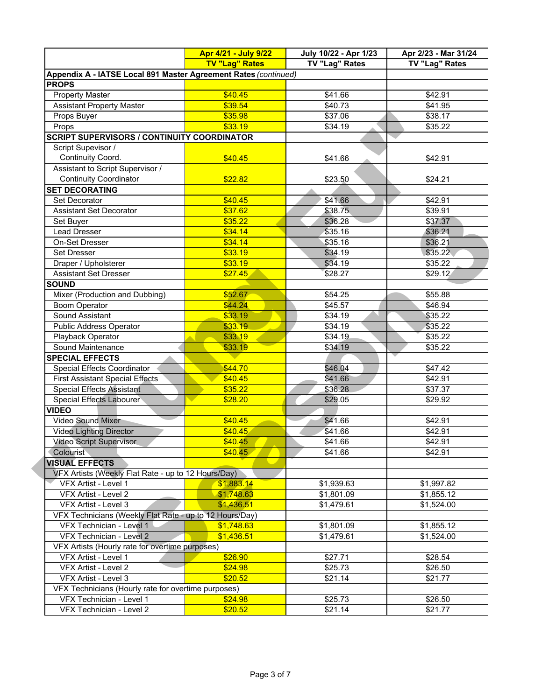|                                                                 | Apr 4/21 - July 9/22     | July 10/22 - Apr 1/23    | Apr 2/23 - Mar 31/24     |
|-----------------------------------------------------------------|--------------------------|--------------------------|--------------------------|
|                                                                 | <b>TV "Lag" Rates</b>    | TV "Lag" Rates           | TV "Lag" Rates           |
| Appendix A - IATSE Local 891 Master Agreement Rates (continued) |                          |                          |                          |
| <b>PROPS</b>                                                    |                          |                          |                          |
| <b>Property Master</b>                                          | \$40.45                  | \$41.66                  | \$42.91                  |
| <b>Assistant Property Master</b>                                | \$39.54                  | \$40.73                  | \$41.95                  |
| Props Buyer                                                     | \$35.98                  | \$37.06                  | \$38.17                  |
| Props                                                           | \$33.19                  | \$34.19                  | \$35.22                  |
| <b>SCRIPT SUPERVISORS / CONTINUITY COORDINATOR</b>              |                          |                          |                          |
| Script Supevisor /                                              |                          |                          |                          |
| Continuity Coord.                                               | \$40.45                  | \$41.66                  | \$42.91                  |
| Assistant to Script Supervisor /                                |                          |                          |                          |
| <b>Continuity Coordinator</b>                                   | \$22.82                  | \$23.50                  | \$24.21                  |
| <b>SET DECORATING</b>                                           |                          |                          |                          |
| Set Decorator                                                   | \$40.45                  | \$41.66                  | \$42.91                  |
| <b>Assistant Set Decorator</b>                                  | \$37.62                  | \$38.75                  | \$39.91                  |
| Set Buyer                                                       | \$35.22                  | \$36.28                  | \$37.37                  |
| <b>Lead Dresser</b>                                             | \$34.14                  | \$35.16                  | \$36.21                  |
| <b>On-Set Dresser</b>                                           | \$34.14                  | \$35.16                  | \$36.21                  |
| Set Dresser                                                     | \$33.19                  | \$34.19                  | \$35.22                  |
| Draper / Upholsterer                                            | \$33.19                  | \$34.19                  | \$35.22                  |
| <b>Assistant Set Dresser</b>                                    | \$27.45                  | \$28.27                  | \$29.12                  |
| <b>SOUND</b>                                                    |                          |                          |                          |
| Mixer (Production and Dubbing)                                  | \$52.67                  | \$54.25                  | \$55.88                  |
| <b>Boom Operator</b>                                            | \$44.24                  | \$45.57                  | \$46.94                  |
| Sound Assistant                                                 | \$33.19                  | \$34.19                  | \$35.22                  |
| <b>Public Address Operator</b>                                  | \$33.19                  | \$34.19                  | \$35.22                  |
| Playback Operator                                               | \$33.19                  | \$34.19                  | \$35.22                  |
| Sound Maintenance                                               | \$33.19                  | \$34.19                  | \$35.22                  |
| <b>SPECIAL EFFECTS</b>                                          |                          |                          |                          |
| Special Effects Coordinator                                     | \$44.70                  | \$46.04                  | \$47.42                  |
| <b>First Assistant Special Effects</b>                          | \$40.45                  | \$41.66                  | \$42.91                  |
| <b>Special Effects Assistant</b>                                | \$35.22                  | \$36.28                  | \$37.37                  |
| Special Effects Labourer                                        | \$28.20                  | \$29.05                  | \$29.92                  |
| <b>VIDEO</b>                                                    |                          |                          |                          |
| <b>Video Sound Mixer</b>                                        | \$40.45                  | \$41.66                  | \$42.91                  |
| <b>Video Lighting Director</b>                                  | \$40.45                  | \$41.66                  | \$42.91                  |
| <b>Video Script Supervisor</b>                                  | \$40.45                  | \$41.66                  | \$42.91                  |
| Colourist                                                       | \$40.45                  | \$41.66                  | \$42.91                  |
| <b>VISUAL EFFECTS</b>                                           |                          |                          |                          |
| VFX Artists (Weekly Flat Rate - up to 12 Hours/Day)             |                          |                          |                          |
| VFX Artist - Level 1                                            | \$1,883.14               | \$1,939.63               | \$1,997.82               |
|                                                                 |                          |                          |                          |
| VFX Artist - Level 2                                            | \$1,748.63<br>\$1,436.51 | \$1,801.09<br>\$1,479.61 | \$1,855.12<br>\$1,524.00 |
| VFX Artist - Level 3                                            |                          |                          |                          |
| VFX Technicians (Weekly Flat Rate - up to 12 Hours/Day)         |                          |                          |                          |
| VFX Technician - Level 1                                        | \$1,748.63               | \$1,801.09               | \$1,855.12               |
| VFX Technician - Level 2                                        | \$1,436.51               | \$1,479.61               | \$1,524.00               |
| VFX Artists (Hourly rate for overtime purposes)                 |                          |                          |                          |
| VFX Artist - Level 1                                            | \$26.90                  | \$27.71                  | \$28.54                  |
| VFX Artist - Level 2                                            | \$24.98                  | \$25.73                  | \$26.50                  |
| VFX Artist - Level 3                                            | \$20.52                  | \$21.14                  | \$21.77                  |
| VFX Technicians (Hourly rate for overtime purposes)             |                          |                          |                          |
| VFX Technician - Level 1                                        | \$24.98                  | \$25.73                  | \$26.50                  |
| VFX Technician - Level 2                                        | \$20.52                  | \$21.14                  | \$21.77                  |